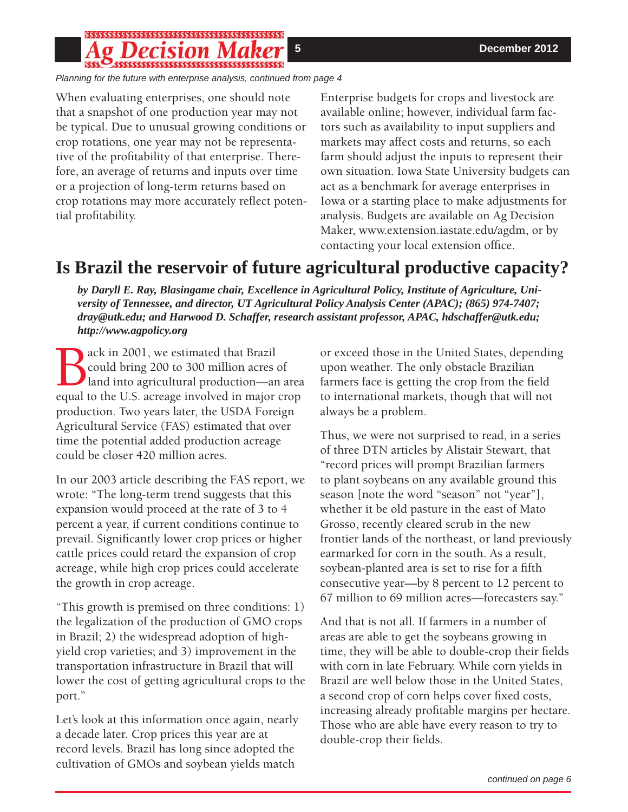# 

*Planning for the future with enterprise analysis, continued from page 4*

When evaluating enterprises, one should note that a snapshot of one production year may not be typical. Due to unusual growing conditions or crop rotations, one year may not be representative of the profitability of that enterprise. Therefore, an average of returns and inputs over time or a projection of long-term returns based on crop rotations may more accurately reflect potential profitability.

Enterprise budgets for crops and livestock are available online; however, individual farm factors such as availability to input suppliers and markets may affect costs and returns, so each farm should adjust the inputs to represent their own situation. Iowa State University budgets can act as a benchmark for average enterprises in Iowa or a starting place to make adjustments for analysis. Budgets are available on Ag Decision Maker, www.extension.iastate.edu/agdm, or by contacting your local extension office.

# **Is Brazil the reservoir of future agricultural productive capacity?**

*by Daryll E. Ray, Blasingame chair, Excellence in Agricultural Policy, Institute of Agriculture, University of Tennessee, and director, UT Agricultural Policy Analysis Center (APAC); (865) 974-7407; dray@utk.edu; and Harwood D. Schaffer, research assistant professor, APAC, hdschaffer@utk.edu; http://www.agpolicy.org*

Back in 2001, we estimated that Brazil<br>
could bring 200 to 300 million acres of<br>
equal to the U.S. acreage involved in major crop could bring 200 to 300 million acres of land into agricultural production—an area production. Two years later, the USDA Foreign Agricultural Service (FAS) estimated that over time the potential added production acreage could be closer 420 million acres.

In our 2003 article describing the FAS report, we wrote: "The long-term trend suggests that this expansion would proceed at the rate of 3 to 4 percent a year, if current conditions continue to prevail. Significantly lower crop prices or higher cattle prices could retard the expansion of crop acreage, while high crop prices could accelerate the growth in crop acreage.

"This growth is premised on three conditions: 1) the legalization of the production of GMO crops in Brazil; 2) the widespread adoption of highyield crop varieties; and 3) improvement in the transportation infrastructure in Brazil that will lower the cost of getting agricultural crops to the port."

Let's look at this information once again, nearly a decade later. Crop prices this year are at record levels. Brazil has long since adopted the cultivation of GMOs and soybean yields match

or exceed those in the United States, depending upon weather. The only obstacle Brazilian farmers face is getting the crop from the field to international markets, though that will not always be a problem.

Thus, we were not surprised to read, in a series of three DTN articles by Alistair Stewart, that "record prices will prompt Brazilian farmers to plant soybeans on any available ground this season [note the word "season" not "year"], whether it be old pasture in the east of Mato Grosso, recently cleared scrub in the new frontier lands of the northeast, or land previously earmarked for corn in the south. As a result, soybean-planted area is set to rise for a fifth consecutive year—by 8 percent to 12 percent to 67 million to 69 million acres—forecasters say."

And that is not all. If farmers in a number of areas are able to get the soybeans growing in time, they will be able to double-crop their fields with corn in late February. While corn yields in Brazil are well below those in the United States, a second crop of corn helps cover fixed costs, increasing already profitable margins per hectare. Those who are able have every reason to try to double-crop their fields.